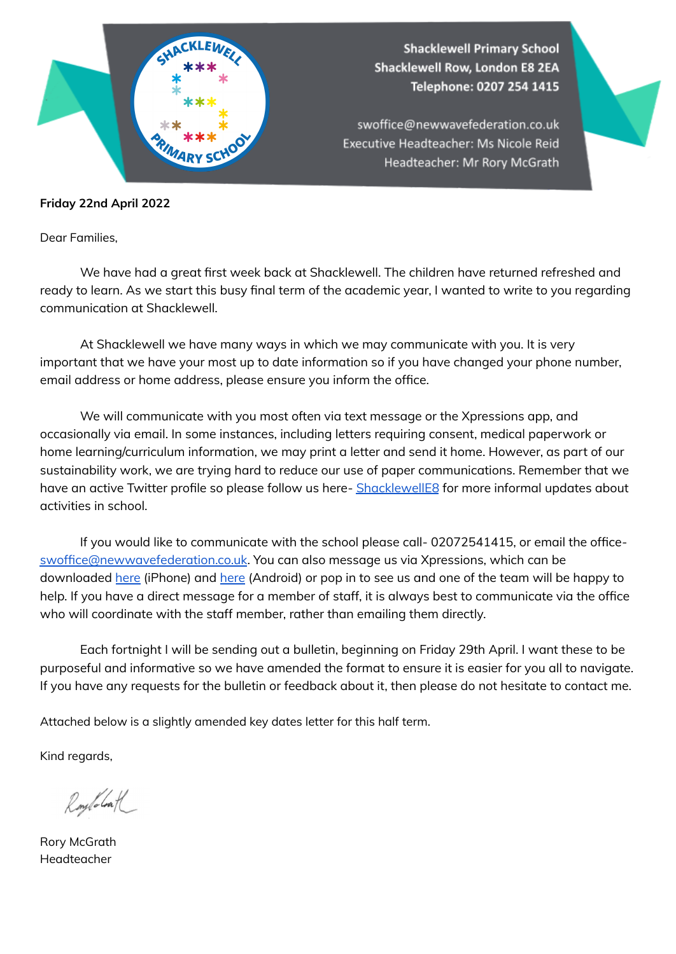

## **Friday 22nd April 2022**

Dear Families,

We have had a great first week back at Shacklewell. The children have returned refreshed and ready to learn. As we start this busy final term of the academic year, I wanted to write to you regarding communication at Shacklewell.

At Shacklewell we have many ways in which we may communicate with you. It is very important that we have your most up to date information so if you have changed your phone number, email address or home address, please ensure you inform the office.

We will communicate with you most often via text message or the Xpressions app, and occasionally via email. In some instances, including letters requiring consent, medical paperwork or home learning/curriculum information, we may print a letter and send it home. However, as part of our sustainability work, we are trying hard to reduce our use of paper communications. Remember that we have an active Twitter profile so please follow us here- [ShacklewellE8](http://www.twitter.com/ShacklewellE8) for more informal updates about activities in school.

If you would like to communicate with the school please call- 02072541415, or email the office[swoffice@newwavefederation.co.uk](mailto:swoffice@newwavefederation.co.uk). You can also message us via Xpressions, which can be downloaded [here](https://apps.apple.com/gb/app/groupcall-xpressions/id787308623) (iPhone) and [here](https://play.google.com/store/apps/details?id=com.groupcall.emerge.parental&hl=en_GB&gl=US) (Android) or pop in to see us and one of the team will be happy to help. If you have a direct message for a member of staff, it is always best to communicate via the office who will coordinate with the staff member, rather than emailing them directly.

Each fortnight I will be sending out a bulletin, beginning on Friday 29th April. I want these to be purposeful and informative so we have amended the format to ensure it is easier for you all to navigate. If you have any requests for the bulletin or feedback about it, then please do not hesitate to contact me.

Attached below is a slightly amended key dates letter for this half term.

Kind regards,

Roylolath

Rory McGrath Headteacher